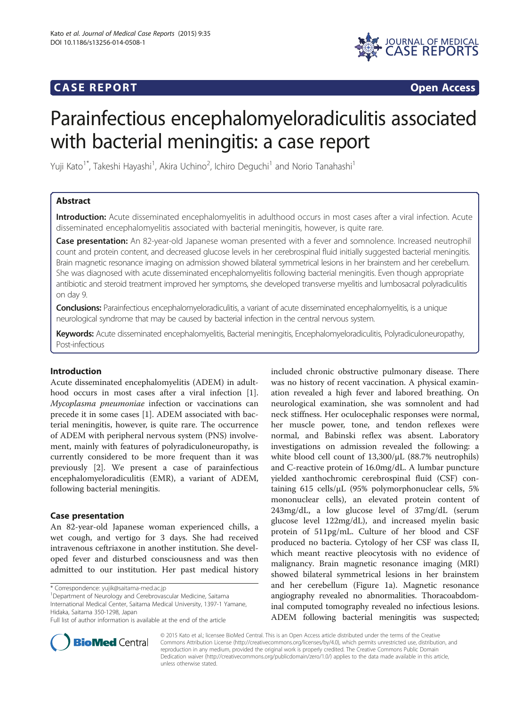## **CASE REPORT CASE REPORT**



# Parainfectious encephalomyeloradiculitis associated with bacterial meningitis: a case report

Yuji Kato<sup>1\*</sup>, Takeshi Hayashi<sup>1</sup>, Akira Uchino<sup>2</sup>, Ichiro Deguchi<sup>1</sup> and Norio Tanahashi<sup>1</sup>

## Abstract

Introduction: Acute disseminated encephalomyelitis in adulthood occurs in most cases after a viral infection. Acute disseminated encephalomyelitis associated with bacterial meningitis, however, is quite rare.

Case presentation: An 82-year-old Japanese woman presented with a fever and somnolence. Increased neutrophil count and protein content, and decreased glucose levels in her cerebrospinal fluid initially suggested bacterial meningitis. Brain magnetic resonance imaging on admission showed bilateral symmetrical lesions in her brainstem and her cerebellum. She was diagnosed with acute disseminated encephalomyelitis following bacterial meningitis. Even though appropriate antibiotic and steroid treatment improved her symptoms, she developed transverse myelitis and lumbosacral polyradiculitis on day 9.

Conclusions: Parainfectious encephalomyeloradiculitis, a variant of acute disseminated encephalomyelitis, is a unique neurological syndrome that may be caused by bacterial infection in the central nervous system.

Keywords: Acute disseminated encephalomyelitis, Bacterial meningitis, Encephalomyeloradiculitis, Polyradiculoneuropathy, Post-infectious

## Introduction

Acute disseminated encephalomyelitis (ADEM) in adulthood occurs in most cases after a viral infection [\[1](#page-2-0)]. Mycoplasma pneumoniae infection or vaccinations can precede it in some cases [[1\]](#page-2-0). ADEM associated with bacterial meningitis, however, is quite rare. The occurrence of ADEM with peripheral nervous system (PNS) involvement, mainly with features of polyradiculoneuropathy, is currently considered to be more frequent than it was previously [\[2](#page-2-0)]. We present a case of parainfectious encephalomyeloradiculitis (EMR), a variant of ADEM, following bacterial meningitis.

## Case presentation

An 82-year-old Japanese woman experienced chills, a wet cough, and vertigo for 3 days. She had received intravenous ceftriaxone in another institution. She developed fever and disturbed consciousness and was then admitted to our institution. Her past medical history

Department of Neurology and Cerebrovascular Medicine, Saitama International Medical Center, Saitama Medical University, 1397-1 Yamane, Hidaka, Saitama 350-1298, Japan

included chronic obstructive pulmonary disease. There was no history of recent vaccination. A physical examination revealed a high fever and labored breathing. On neurological examination, she was somnolent and had neck stiffness. Her oculocephalic responses were normal, her muscle power, tone, and tendon reflexes were normal, and Babinski reflex was absent. Laboratory investigations on admission revealed the following: a white blood cell count of 13,300/μL (88.7% neutrophils) and C-reactive protein of 16.0mg/dL. A lumbar puncture yielded xanthochromic cerebrospinal fluid (CSF) containing 615 cells/μL (95% polymorphonuclear cells, 5% mononuclear cells), an elevated protein content of 243mg/dL, a low glucose level of 37mg/dL (serum glucose level 122mg/dL), and increased myelin basic protein of 511pg/mL. Culture of her blood and CSF produced no bacteria. Cytology of her CSF was class II, which meant reactive pleocytosis with no evidence of malignancy. Brain magnetic resonance imaging (MRI) showed bilateral symmetrical lesions in her brainstem and her cerebellum (Figure [1](#page-1-0)a). Magnetic resonance angiography revealed no abnormalities. Thoracoabdominal computed tomography revealed no infectious lesions. ADEM following bacterial meningitis was suspected;



© 2015 Kato et al.; licensee BioMed Central. This is an Open Access article distributed under the terms of the Creative Commons Attribution License [\(http://creativecommons.org/licenses/by/4.0\)](http://creativecommons.org/licenses/by/4.0), which permits unrestricted use, distribution, and reproduction in any medium, provided the original work is properly credited. The Creative Commons Public Domain Dedication waiver [\(http://creativecommons.org/publicdomain/zero/1.0/](http://creativecommons.org/publicdomain/zero/1.0/)) applies to the data made available in this article, unless otherwise stated.

<sup>\*</sup> Correspondence: [yujik@saitama-med.ac.jp](mailto:yujik@saitama-med.ac.jp) <sup>1</sup>

Full list of author information is available at the end of the article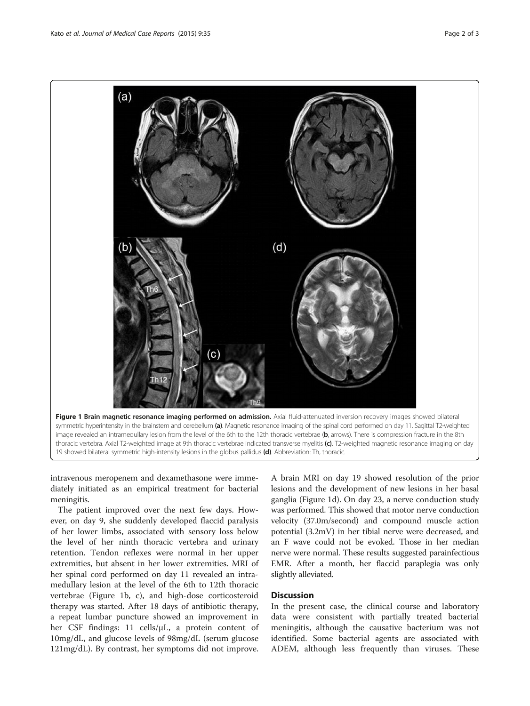<span id="page-1-0"></span>

intravenous meropenem and dexamethasone were immediately initiated as an empirical treatment for bacterial meningitis.

The patient improved over the next few days. However, on day 9, she suddenly developed flaccid paralysis of her lower limbs, associated with sensory loss below the level of her ninth thoracic vertebra and urinary retention. Tendon reflexes were normal in her upper extremities, but absent in her lower extremities. MRI of her spinal cord performed on day 11 revealed an intramedullary lesion at the level of the 6th to 12th thoracic vertebrae (Figure 1b, c), and high-dose corticosteroid therapy was started. After 18 days of antibiotic therapy, a repeat lumbar puncture showed an improvement in her CSF findings: 11 cells/μL, a protein content of 10mg/dL, and glucose levels of 98mg/dL (serum glucose 121mg/dL). By contrast, her symptoms did not improve.

A brain MRI on day 19 showed resolution of the prior lesions and the development of new lesions in her basal ganglia (Figure 1d). On day 23, a nerve conduction study was performed. This showed that motor nerve conduction velocity (37.0m/second) and compound muscle action potential (3.2mV) in her tibial nerve were decreased, and an F wave could not be evoked. Those in her median nerve were normal. These results suggested parainfectious EMR. After a month, her flaccid paraplegia was only slightly alleviated.

### **Discussion**

In the present case, the clinical course and laboratory data were consistent with partially treated bacterial meningitis, although the causative bacterium was not identified. Some bacterial agents are associated with ADEM, although less frequently than viruses. These